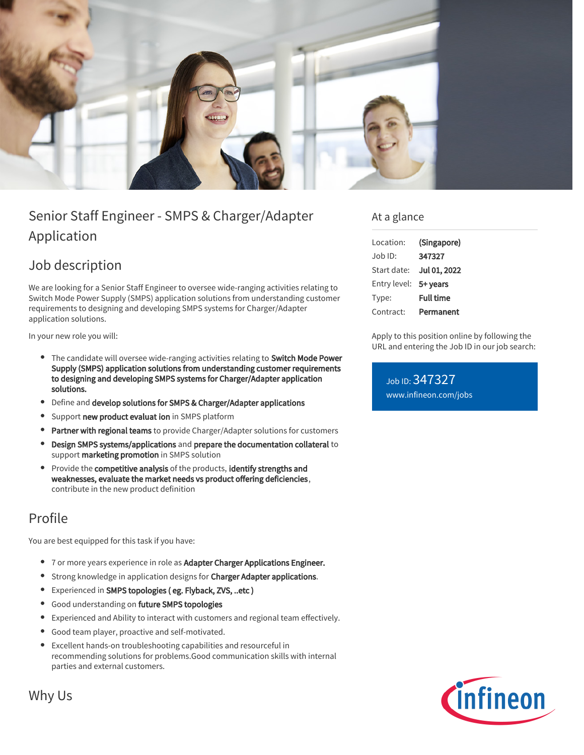

# Senior Staff Engineer - SMPS & Charger/Adapter Application

## Job description

We are looking for a Senior Staff Engineer to oversee wide-ranging activities relating to Switch Mode Power Supply (SMPS) application solutions from understanding customer requirements to designing and developing SMPS systems for Charger/Adapter application solutions.

In your new role you will:

- The candidate will oversee wide-ranging activities relating to Switch Mode Power Supply (SMPS) application solutions from understanding customer requirements to designing and developing SMPS systems for Charger/Adapter application solutions.
- $\bullet$ Define and develop solutions for SMPS & Charger/Adapter applications
- Support new product evaluat ion in SMPS platform
- Partner with regional teams to provide Charger/Adapter solutions for customers  $\bullet$
- $\bullet$ Design SMPS systems/applications and prepare the documentation collateral to support marketing promotion in SMPS solution
- Provide the competitive analysis of the products, identify strengths and weaknesses, evaluate the market needs vs product offering deficiencies, contribute in the new product definition

### Profile

You are best equipped for this task if you have:

- 7 or more years experience in role as Adapter Charger Applications Engineer.
- **•** Strong knowledge in application designs for Charger Adapter applications.
- Experienced in SMPS topologies ( eg. Flyback, ZVS, ..etc )
- **•** Good understanding on future SMPS topologies
- Experienced and Ability to interact with customers and regional team effectively.
- Good team player, proactive and self-motivated.
- Excellent hands-on troubleshooting capabilities and resourceful in  $\bullet$ recommending solutions for problems.Good communication skills with internal parties and external customers.

#### At a glance

| Location:    | (Singapore)      |
|--------------|------------------|
| $Joh$ ID:    | 347327           |
| Start date:  | Jul 01, 2022     |
| Entry level: | 5+ years         |
| Type:        | <b>Full time</b> |
| Contract:    | Permanent        |

Apply to this position online by following the URL and entering the Job ID in our job search:

Job ID: 347327 [www.infineon.com/jobs](https://www.infineon.com/jobs)



Why Us